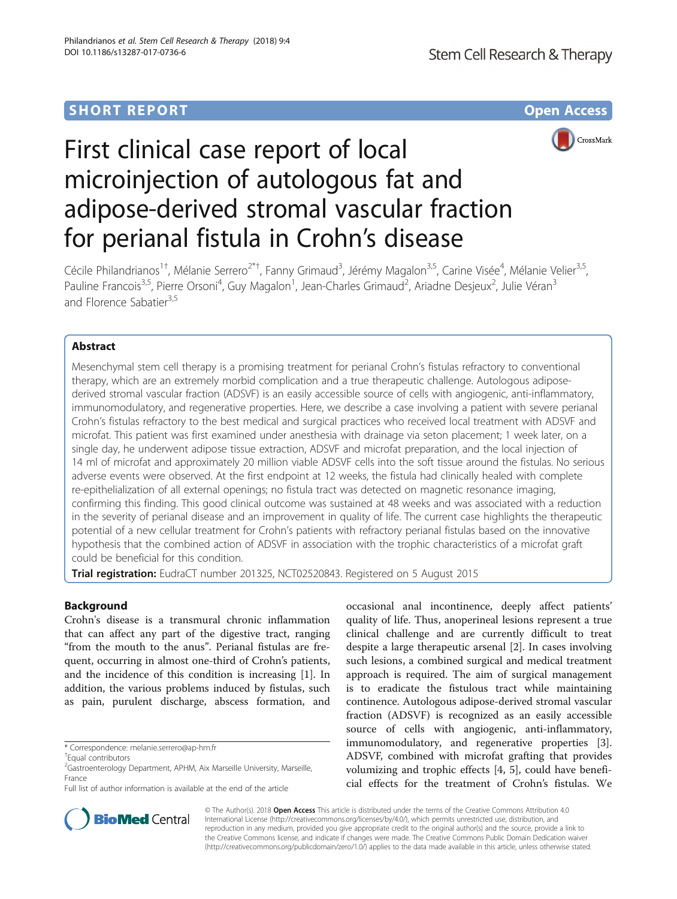## **SHORT REPORT CONTRACT CONTRACT CONTRACT CONTRACT CONTRACT CONTRACT CONTRACT CONTRACT CONTRACT CONTRACT CONTRACT CONTRACT CONTRACT CONTRACT CONTRACT CONTRACT CONTRACT CONTRACT CONTRACT CONTRACT CONTRACT CONTRACT CONTRACT C**





# First clinical case report of local microinjection of autologous fat and adipose-derived stromal vascular fraction for perianal fistula in Crohn's disease

Cécile Philandrianos<sup>1†</sup>, Mélanie Serrero<sup>2\*†</sup>, Fanny Grimaud<sup>3</sup>, Jérémy Magalon<sup>3,5</sup>, Carine Visée<sup>4</sup>, Mélanie Velier<sup>3,5</sup>, Pauline Francois<sup>3,5</sup>, Pierre Orsoni<sup>4</sup>, Guy Magalon<sup>1</sup>, Jean-Charles Grimaud<sup>2</sup>, Ariadne Desjeux<sup>2</sup>, Julie Véran<sup>3</sup> and Florence Sabatier<sup>3,5</sup>

## Abstract

Mesenchymal stem cell therapy is a promising treatment for perianal Crohn's fistulas refractory to conventional therapy, which are an extremely morbid complication and a true therapeutic challenge. Autologous adiposederived stromal vascular fraction (ADSVF) is an easily accessible source of cells with angiogenic, anti-inflammatory, immunomodulatory, and regenerative properties. Here, we describe a case involving a patient with severe perianal Crohn's fistulas refractory to the best medical and surgical practices who received local treatment with ADSVF and microfat. This patient was first examined under anesthesia with drainage via seton placement; 1 week later, on a single day, he underwent adipose tissue extraction, ADSVF and microfat preparation, and the local injection of 14 ml of microfat and approximately 20 million viable ADSVF cells into the soft tissue around the fistulas. No serious adverse events were observed. At the first endpoint at 12 weeks, the fistula had clinically healed with complete re-epithelialization of all external openings; no fistula tract was detected on magnetic resonance imaging, confirming this finding. This good clinical outcome was sustained at 48 weeks and was associated with a reduction in the severity of perianal disease and an improvement in quality of life. The current case highlights the therapeutic potential of a new cellular treatment for Crohn's patients with refractory perianal fistulas based on the innovative hypothesis that the combined action of ADSVF in association with the trophic characteristics of a microfat graft could be beneficial for this condition.

Trial registration: EudraCT number 201325, [NCT02520843.](https://clinicaltrials.gov/show/NCT02520843) Registered on 5 August 2015

## Background

Crohn's disease is a transmural chronic inflammation that can affect any part of the digestive tract, ranging "from the mouth to the anus". Perianal fistulas are frequent, occurring in almost one-third of Crohn's patients, and the incidence of this condition is increasing [[1\]](#page-4-0). In addition, the various problems induced by fistulas, such as pain, purulent discharge, abscess formation, and occasional anal incontinence, deeply affect patients' quality of life. Thus, anoperineal lesions represent a true clinical challenge and are currently difficult to treat despite a large therapeutic arsenal [[2\]](#page-4-0). In cases involving such lesions, a combined surgical and medical treatment approach is required. The aim of surgical management is to eradicate the fistulous tract while maintaining continence. Autologous adipose-derived stromal vascular fraction (ADSVF) is recognized as an easily accessible source of cells with angiogenic, anti-inflammatory, immunomodulatory, and regenerative properties [\[3](#page-4-0)]. ADSVF, combined with microfat grafting that provides volumizing and trophic effects [[4, 5](#page-4-0)], could have beneficial effects for the treatment of Crohn's fistulas. We



© The Author(s). 2018 Open Access This article is distributed under the terms of the Creative Commons Attribution 4.0 International License [\(http://creativecommons.org/licenses/by/4.0/](http://creativecommons.org/licenses/by/4.0/)), which permits unrestricted use, distribution, and reproduction in any medium, provided you give appropriate credit to the original author(s) and the source, provide a link to the Creative Commons license, and indicate if changes were made. The Creative Commons Public Domain Dedication waiver [\(http://creativecommons.org/publicdomain/zero/1.0/](http://creativecommons.org/publicdomain/zero/1.0/)) applies to the data made available in this article, unless otherwise stated.

<sup>\*</sup> Correspondence: [melanie.serrero@ap-hm.fr](mailto:melanie.serrero@ap-hm.fr) †

Equal contributors

<sup>&</sup>lt;sup>2</sup>Gastroenterology Department, APHM, Aix Marseille University, Marseille, France

Full list of author information is available at the end of the article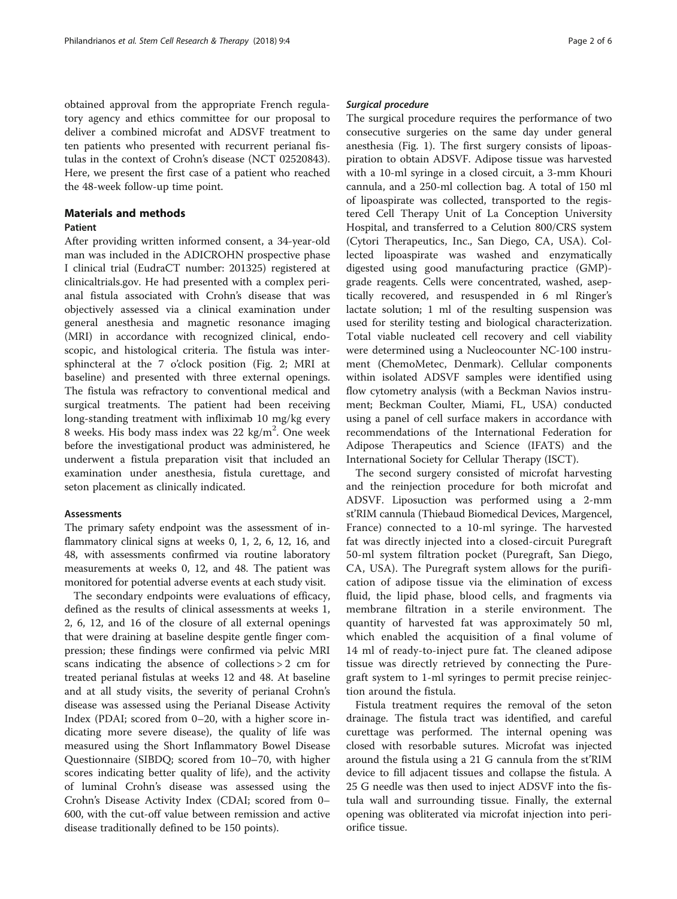obtained approval from the appropriate French regulatory agency and ethics committee for our proposal to deliver a combined microfat and ADSVF treatment to ten patients who presented with recurrent perianal fistulas in the context of Crohn's disease (NCT 02520843). Here, we present the first case of a patient who reached the 48-week follow-up time point.

## Materials and methods

## Patient

After providing written informed consent, a 34-year-old man was included in the ADICROHN prospective phase I clinical trial (EudraCT number: 201325) registered at clinicaltrials.gov. He had presented with a complex perianal fistula associated with Crohn's disease that was objectively assessed via a clinical examination under general anesthesia and magnetic resonance imaging (MRI) in accordance with recognized clinical, endoscopic, and histological criteria. The fistula was intersphincteral at the 7 o'clock position (Fig. [2;](#page-3-0) MRI at baseline) and presented with three external openings. The fistula was refractory to conventional medical and surgical treatments. The patient had been receiving long-standing treatment with infliximab 10 mg/kg every 8 weeks. His body mass index was 22 kg/m<sup>2</sup>. One week before the investigational product was administered, he underwent a fistula preparation visit that included an examination under anesthesia, fistula curettage, and seton placement as clinically indicated.

## Assessments

The primary safety endpoint was the assessment of inflammatory clinical signs at weeks 0, 1, 2, 6, 12, 16, and 48, with assessments confirmed via routine laboratory measurements at weeks 0, 12, and 48. The patient was monitored for potential adverse events at each study visit.

The secondary endpoints were evaluations of efficacy, defined as the results of clinical assessments at weeks 1, 2, 6, 12, and 16 of the closure of all external openings that were draining at baseline despite gentle finger compression; these findings were confirmed via pelvic MRI scans indicating the absence of collections > 2 cm for treated perianal fistulas at weeks 12 and 48. At baseline and at all study visits, the severity of perianal Crohn's disease was assessed using the Perianal Disease Activity Index (PDAI; scored from 0–20, with a higher score indicating more severe disease), the quality of life was measured using the Short Inflammatory Bowel Disease Questionnaire (SIBDQ; scored from 10–70, with higher scores indicating better quality of life), and the activity of luminal Crohn's disease was assessed using the Crohn's Disease Activity Index (CDAI; scored from 0– 600, with the cut-off value between remission and active disease traditionally defined to be 150 points).

#### Surgical procedure

The surgical procedure requires the performance of two consecutive surgeries on the same day under general anesthesia (Fig. [1\)](#page-2-0). The first surgery consists of lipoaspiration to obtain ADSVF. Adipose tissue was harvested with a 10-ml syringe in a closed circuit, a 3-mm Khouri cannula, and a 250-ml collection bag. A total of 150 ml of lipoaspirate was collected, transported to the registered Cell Therapy Unit of La Conception University Hospital, and transferred to a Celution 800/CRS system (Cytori Therapeutics, Inc., San Diego, CA, USA). Collected lipoaspirate was washed and enzymatically digested using good manufacturing practice (GMP) grade reagents. Cells were concentrated, washed, aseptically recovered, and resuspended in 6 ml Ringer's lactate solution; 1 ml of the resulting suspension was used for sterility testing and biological characterization. Total viable nucleated cell recovery and cell viability were determined using a Nucleocounter NC-100 instrument (ChemoMetec, Denmark). Cellular components within isolated ADSVF samples were identified using flow cytometry analysis (with a Beckman Navios instrument; Beckman Coulter, Miami, FL, USA) conducted using a panel of cell surface makers in accordance with recommendations of the International Federation for Adipose Therapeutics and Science (IFATS) and the International Society for Cellular Therapy (ISCT).

The second surgery consisted of microfat harvesting and the reinjection procedure for both microfat and ADSVF. Liposuction was performed using a 2-mm st'RIM cannula (Thiebaud Biomedical Devices, Margencel, France) connected to a 10-ml syringe. The harvested fat was directly injected into a closed-circuit Puregraft 50-ml system filtration pocket (Puregraft, San Diego, CA, USA). The Puregraft system allows for the purification of adipose tissue via the elimination of excess fluid, the lipid phase, blood cells, and fragments via membrane filtration in a sterile environment. The quantity of harvested fat was approximately 50 ml, which enabled the acquisition of a final volume of 14 ml of ready-to-inject pure fat. The cleaned adipose tissue was directly retrieved by connecting the Puregraft system to 1-ml syringes to permit precise reinjection around the fistula.

Fistula treatment requires the removal of the seton drainage. The fistula tract was identified, and careful curettage was performed. The internal opening was closed with resorbable sutures. Microfat was injected around the fistula using a 21 G cannula from the st'RIM device to fill adjacent tissues and collapse the fistula. A 25 G needle was then used to inject ADSVF into the fistula wall and surrounding tissue. Finally, the external opening was obliterated via microfat injection into periorifice tissue.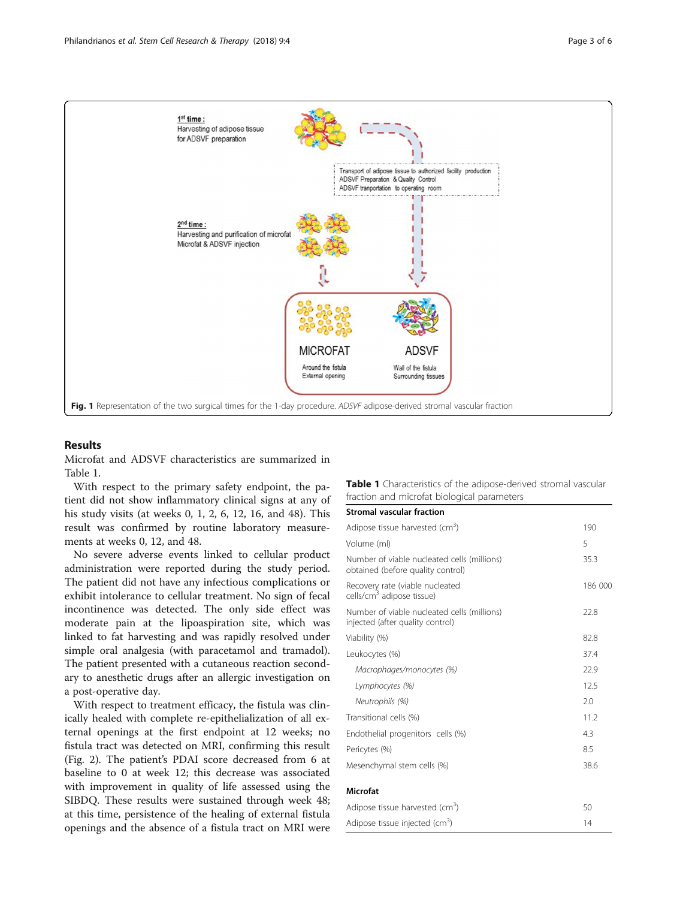<span id="page-2-0"></span>

## Results

Microfat and ADSVF characteristics are summarized in Table 1.

With respect to the primary safety endpoint, the patient did not show inflammatory clinical signs at any of his study visits (at weeks 0, 1, 2, 6, 12, 16, and 48). This result was confirmed by routine laboratory measurements at weeks 0, 12, and 48.

No severe adverse events linked to cellular product administration were reported during the study period. The patient did not have any infectious complications or exhibit intolerance to cellular treatment. No sign of fecal incontinence was detected. The only side effect was moderate pain at the lipoaspiration site, which was linked to fat harvesting and was rapidly resolved under simple oral analgesia (with paracetamol and tramadol). The patient presented with a cutaneous reaction secondary to anesthetic drugs after an allergic investigation on a post-operative day.

With respect to treatment efficacy, the fistula was clinically healed with complete re-epithelialization of all external openings at the first endpoint at 12 weeks; no fistula tract was detected on MRI, confirming this result (Fig. [2\)](#page-3-0). The patient's PDAI score decreased from 6 at baseline to 0 at week 12; this decrease was associated with improvement in quality of life assessed using the SIBDQ. These results were sustained through week 48; at this time, persistence of the healing of external fistula openings and the absence of a fistula tract on MRI were

## Table 1 Characteristics of the adipose-derived stromal vascular fraction and microfat biological parameters

| <b>Stromal vascular fraction</b> |  |  |
|----------------------------------|--|--|
|----------------------------------|--|--|

| Adipose tissue harvested $\text{(cm}^3\text{)}$                                  | 190     |
|----------------------------------------------------------------------------------|---------|
| Volume (ml)                                                                      | 5       |
| Number of viable nucleated cells (millions)<br>obtained (before quality control) | 35.3    |
| Recovery rate (viable nucleated<br>cells/cm <sup>3</sup> adipose tissue)         | 186 000 |
| Number of viable nucleated cells (millions)<br>injected (after quality control)  | 22.8    |
| Viability (%)                                                                    | 82.8    |
| Leukocytes (%)                                                                   | 37.4    |
| Macrophages/monocytes (%)                                                        | 22.9    |
| Lymphocytes (%)                                                                  | 12.5    |
| Neutrophils (%)                                                                  | 2.0     |
| Transitional cells (%)                                                           | 11.2    |
| Endothelial progenitors cells (%)                                                | 4.3     |
| Pericytes (%)                                                                    | 8.5     |
| Mesenchymal stem cells (%)                                                       | 38.6    |
| <b>Microfat</b>                                                                  |         |
| Adipose tissue harvested $(cm3)$                                                 | 50      |
| Adipose tissue injected (cm <sup>3</sup> )                                       | 14      |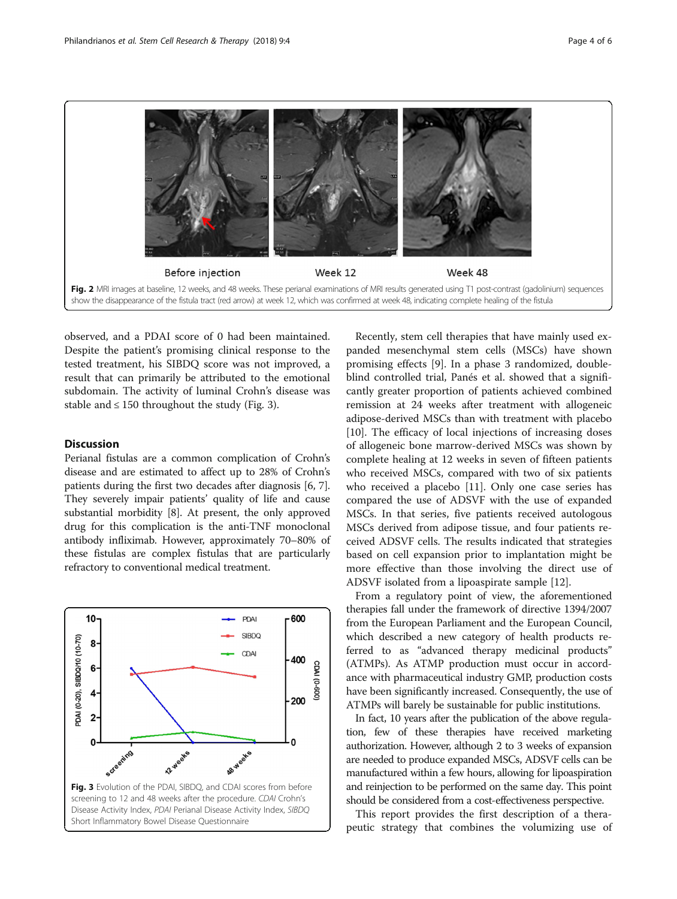<span id="page-3-0"></span>

observed, and a PDAI score of 0 had been maintained. Despite the patient's promising clinical response to the tested treatment, his SIBDQ score was not improved, a result that can primarily be attributed to the emotional subdomain. The activity of luminal Crohn's disease was stable and  $\leq 150$  throughout the study (Fig. 3).

## Discussion

Perianal fistulas are a common complication of Crohn's disease and are estimated to affect up to 28% of Crohn's patients during the first two decades after diagnosis [[6](#page-4-0), [7](#page-4-0)]. They severely impair patients' quality of life and cause substantial morbidity [\[8](#page-4-0)]. At present, the only approved drug for this complication is the anti-TNF monoclonal antibody infliximab. However, approximately 70–80% of these fistulas are complex fistulas that are particularly refractory to conventional medical treatment.



Recently, stem cell therapies that have mainly used expanded mesenchymal stem cells (MSCs) have shown promising effects [[9\]](#page-4-0). In a phase 3 randomized, doubleblind controlled trial, Panés et al. showed that a significantly greater proportion of patients achieved combined remission at 24 weeks after treatment with allogeneic adipose-derived MSCs than with treatment with placebo [[10\]](#page-4-0). The efficacy of local injections of increasing doses of allogeneic bone marrow-derived MSCs was shown by complete healing at 12 weeks in seven of fifteen patients who received MSCs, compared with two of six patients who received a placebo [\[11](#page-5-0)]. Only one case series has compared the use of ADSVF with the use of expanded MSCs. In that series, five patients received autologous MSCs derived from adipose tissue, and four patients received ADSVF cells. The results indicated that strategies based on cell expansion prior to implantation might be more effective than those involving the direct use of ADSVF isolated from a lipoaspirate sample [[12](#page-5-0)].

From a regulatory point of view, the aforementioned therapies fall under the framework of directive 1394/2007 from the European Parliament and the European Council, which described a new category of health products referred to as "advanced therapy medicinal products" (ATMPs). As ATMP production must occur in accordance with pharmaceutical industry GMP, production costs have been significantly increased. Consequently, the use of ATMPs will barely be sustainable for public institutions.

In fact, 10 years after the publication of the above regulation, few of these therapies have received marketing authorization. However, although 2 to 3 weeks of expansion are needed to produce expanded MSCs, ADSVF cells can be manufactured within a few hours, allowing for lipoaspiration and reinjection to be performed on the same day. This point should be considered from a cost-effectiveness perspective.

This report provides the first description of a therapeutic strategy that combines the volumizing use of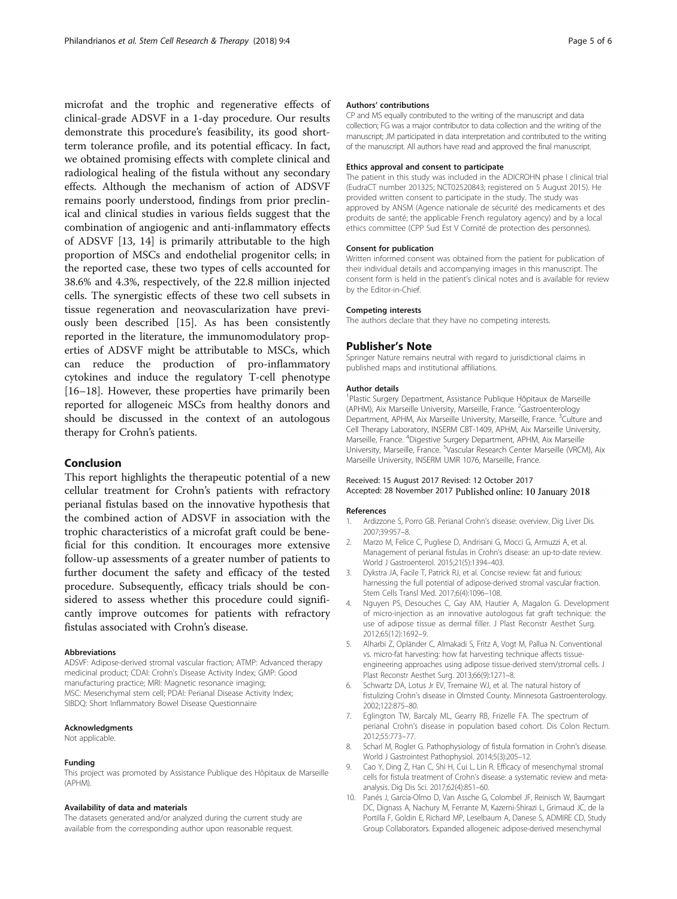<span id="page-4-0"></span>microfat and the trophic and regenerative effects of clinical-grade ADSVF in a 1-day procedure. Our results demonstrate this procedure's feasibility, its good shortterm tolerance profile, and its potential efficacy. In fact, we obtained promising effects with complete clinical and radiological healing of the fistula without any secondary effects. Although the mechanism of action of ADSVF remains poorly understood, findings from prior preclinical and clinical studies in various fields suggest that the combination of angiogenic and anti-inflammatory effects of ADSVF [\[13, 14\]](#page-5-0) is primarily attributable to the high proportion of MSCs and endothelial progenitor cells; in the reported case, these two types of cells accounted for 38.6% and 4.3%, respectively, of the 22.8 million injected cells. The synergistic effects of these two cell subsets in tissue regeneration and neovascularization have previously been described [\[15\]](#page-5-0). As has been consistently reported in the literature, the immunomodulatory properties of ADSVF might be attributable to MSCs, which can reduce the production of pro-inflammatory cytokines and induce the regulatory T-cell phenotype [[16](#page-5-0)–[18](#page-5-0)]. However, these properties have primarily been reported for allogeneic MSCs from healthy donors and should be discussed in the context of an autologous therapy for Crohn's patients.

## Conclusion

This report highlights the therapeutic potential of a new cellular treatment for Crohn's patients with refractory perianal fistulas based on the innovative hypothesis that the combined action of ADSVF in association with the trophic characteristics of a microfat graft could be beneficial for this condition. It encourages more extensive follow-up assessments of a greater number of patients to further document the safety and efficacy of the tested procedure. Subsequently, efficacy trials should be considered to assess whether this procedure could significantly improve outcomes for patients with refractory fistulas associated with Crohn's disease.

#### Abbreviations

ADSVF: Adipose-derived stromal vascular fraction; ATMP: Advanced therapy medicinal product; CDAI: Crohn's Disease Activity Index; GMP: Good manufacturing practice; MRI: Magnetic resonance imaging; MSC: Mesenchymal stem cell; PDAI: Perianal Disease Activity Index; SIBDQ: Short Inflammatory Bowel Disease Questionnaire

#### Acknowledgments

Not applicable.

#### Funding

This project was promoted by Assistance Publique des Hôpitaux de Marseille (APHM).

#### Availability of data and materials

The datasets generated and/or analyzed during the current study are available from the corresponding author upon reasonable request.

#### Authors' contributions

CP and MS equally contributed to the writing of the manuscript and data collection; FG was a major contributor to data collection and the writing of the manuscript; JM participated in data interpretation and contributed to the writing of the manuscript. All authors have read and approved the final manuscript.

#### Ethics approval and consent to participate

The patient in this study was included in the ADICROHN phase I clinical trial (EudraCT number 201325; NCT02520843; registered on 5 August 2015). He provided written consent to participate in the study. The study was approved by ANSM (Agence nationale de sécurité des medicaments et des produits de santé; the applicable French regulatory agency) and by a local ethics committee (CPP Sud Est V Comité de protection des personnes).

#### Consent for publication

Written informed consent was obtained from the patient for publication of their individual details and accompanying images in this manuscript. The consent form is held in the patient's clinical notes and is available for review by the Editor-in-Chief.

#### Competing interests

The authors declare that they have no competing interests.

#### Publisher's Note

Springer Nature remains neutral with regard to jurisdictional claims in published maps and institutional affiliations.

#### Author details

<sup>1</sup> Plastic Surgery Department, Assistance Publique Hôpitaux de Marseille (APHM), Aix Marseille University, Marseille, France. <sup>2</sup>Gastroenterology Department, APHM, Aix Marseille University, Marseille, France. <sup>3</sup>Culture and Cell Therapy Laboratory, INSERM CBT-1409, APHM, Aix Marseille University, Marseille, France. <sup>4</sup> Digestive Surgery Department, APHM, Aix Marseille University, Marseille, France. <sup>5</sup>Vascular Research Center Marseille (VRCM), Aix Marseille University, INSERM UMR 1076, Marseille, France.

#### Received: 15 August 2017 Revised: 12 October 2017 Accepted: 28 November 2017 Published online: 10 January 2018

#### References

- 1. Ardizzone S, Porro GB. Perianal Crohn's disease: overview. Dig Liver Dis. 2007;39:957–8.
- 2. Marzo M, Felice C, Pugliese D, Andrisani G, Mocci G, Armuzzi A, et al. Management of perianal fistulas in Crohn's disease: an up-to-date review. World J Gastroenterol. 2015;21(5):1394–403.
- 3. Dykstra JA, Facile T, Patrick RJ, et al. Concise review: fat and furious: harnessing the full potential of adipose-derived stromal vascular fraction. Stem Cells Transl Med. 2017;6(4):1096–108.
- 4. Nguyen PS, Desouches C, Gay AM, Hautier A, Magalon G. Development of micro-injection as an innovative autologous fat graft technique: the use of adipose tissue as dermal filler. J Plast Reconstr Aesthet Surg. 2012;65(12):1692–9.
- 5. Alharbi Z, Opländer C, Almakadi S, Fritz A, Vogt M, Pallua N. Conventional vs. micro-fat harvesting: how fat harvesting technique affects tissueengineering approaches using adipose tissue-derived stem/stromal cells. J Plast Reconstr Aesthet Surg. 2013;66(9):1271–8.
- 6. Schwartz DA, Lotus Jr EV, Tremaine WJ, et al. The natural history of fistulizing Crohn's disease in Olmsted County. Minnesota Gastroenterology. 2002;122:875–80.
- 7. Eglington TW, Barcaly ML, Gearry RB, Frizelle FA. The spectrum of perianal Crohn's disease in population based cohort. Dis Colon Rectum. 2012;55:773–77.
- 8. Scharl M, Rogler G. Pathophysiology of fistula formation in Crohn's disease. World J Gastrointest Pathophysiol. 2014;5(3):205–12.
- 9. Cao Y, Ding Z, Han C, Shi H, Cui L, Lin R. Efficacy of mesenchymal stromal cells for fistula treatment of Crohn's disease: a systematic review and metaanalysis. Dig Dis Sci. 2017;62(4):851–60.
- 10. Panés J, García-Olmo D, Van Assche G, Colombel JF, Reinisch W, Baumgart DC, Dignass A, Nachury M, Ferrante M, Kazemi-Shirazi L, Grimaud JC, de la Portilla F, Goldin E, Richard MP, Leselbaum A, Danese S, ADMIRE CD, Study Group Collaborators. Expanded allogeneic adipose-derived mesenchymal